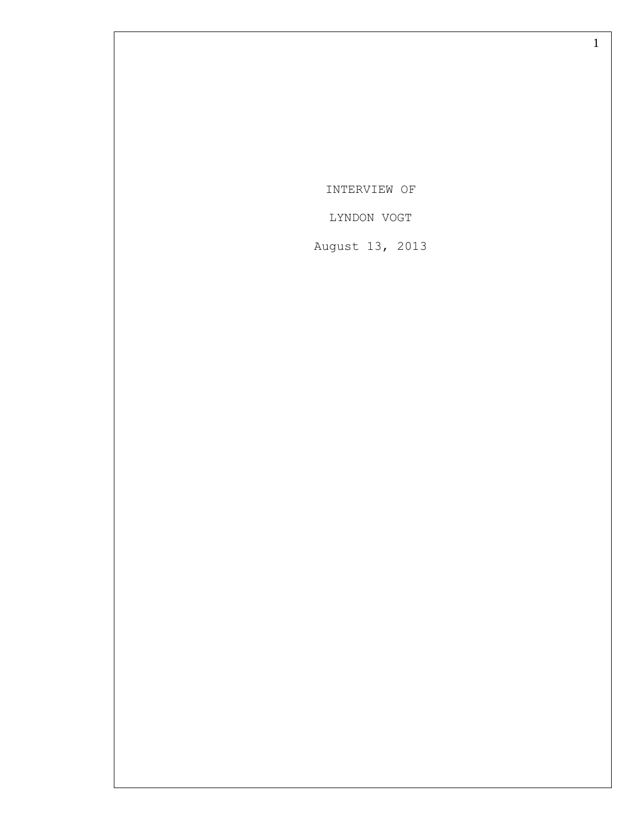INTERVIEW OF

LYNDON VOGT

August 13, 2013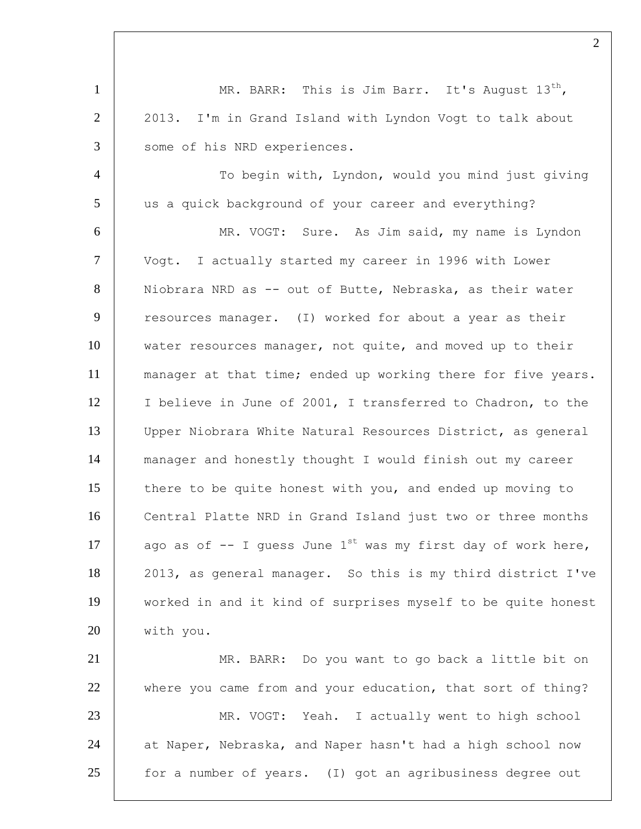1 MR. BARR: This is Jim Barr. It's August  $13^{th}$ , 2 | 2013. I'm in Grand Island with Lyndon Vogt to talk about 3 some of his NRD experiences. 4 | To begin with, Lyndon, would you mind just giving 5 us a quick background of your career and everything? 6 MR. VOGT: Sure. As Jim said, my name is Lyndon 7 Vogt. I actually started my career in 1996 with Lower 8 | Niobrara NRD as -- out of Butte, Nebraska, as their water 9 resources manager. (I) worked for about a year as their 10 water resources manager, not quite, and moved up to their 11 | manager at that time; ended up working there for five years. 12 | I believe in June of 2001, I transferred to Chadron, to the 13 Upper Niobrara White Natural Resources District, as general 14 manager and honestly thought I would finish out my career 15 there to be quite honest with you, and ended up moving to 16 Central Platte NRD in Grand Island just two or three months 17 ago as of  $-$  I guess June 1<sup>st</sup> was my first day of work here, 18 2013, as general manager. So this is my third district I've 19 worked in and it kind of surprises myself to be quite honest 20 with you. 21 | MR. BARR: Do you want to go back a little bit on 22 where you came from and your education, that sort of thing? 23 MR. VOGT: Yeah. I actually went to high school 24 at Naper, Nebraska, and Naper hasn't had a high school now  $25$   $\vert$  for a number of years. (I) got an agribusiness degree out

 $\mathcal{L}$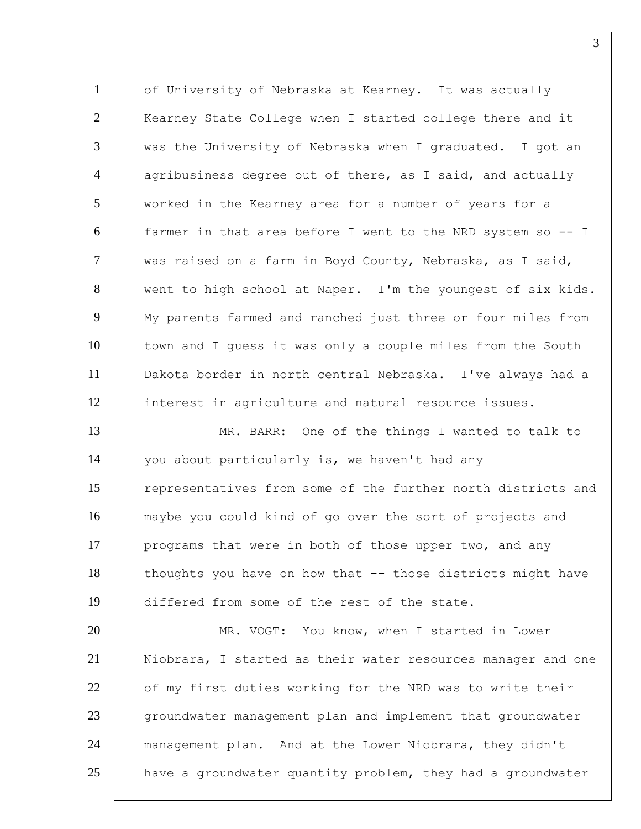1 of University of Nebraska at Kearney. It was actually 2 | Kearney State College when I started college there and it 3 was the University of Nebraska when I graduated. I got an  $4$  agribusiness degree out of there, as I said, and actually 5 | worked in the Kearney area for a number of years for a 6 farmer in that area before I went to the NRD system so -- I  $7$  | was raised on a farm in Boyd County, Nebraska, as I said, 8 went to high school at Naper. I'm the youngest of six kids. 9 | My parents farmed and ranched just three or four miles from 10 town and I quess it was only a couple miles from the South 11 Dakota border in north central Nebraska. I've always had a 12 interest in agriculture and natural resource issues. 13 MR. BARR: One of the things I wanted to talk to 14 you about particularly is, we haven't had any 15 representatives from some of the further north districts and 16 maybe you could kind of go over the sort of projects and 17 programs that were in both of those upper two, and any 18 | thoughts you have on how that -- those districts might have 19 differed from some of the rest of the state.

 MR. VOGT: You know, when I started in Lower Niobrara, I started as their water resources manager and one 22 of my first duties working for the NRD was to write their 23 groundwater management plan and implement that groundwater management plan. And at the Lower Niobrara, they didn't have a groundwater quantity problem, they had a groundwater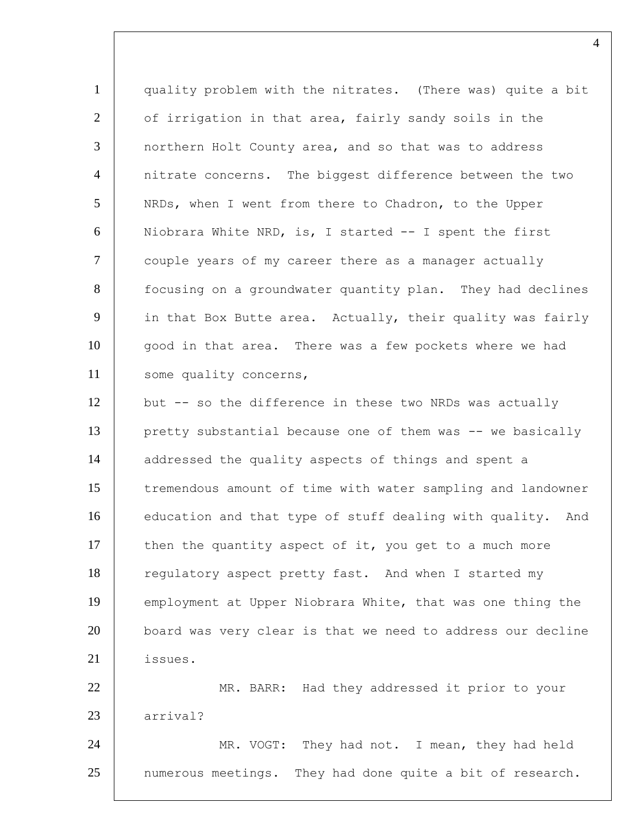1 quality problem with the nitrates. (There was) quite a bit 2 | of irrigation in that area, fairly sandy soils in the 3 northern Holt County area, and so that was to address 4 nitrate concerns. The biggest difference between the two 5 NRDs, when I went from there to Chadron, to the Upper 6 Niobrara White NRD, is, I started -- I spent the first 7 | couple years of my career there as a manager actually 8 focusing on a groundwater quantity plan. They had declines 9 in that Box Butte area. Actually, their quality was fairly 10 good in that area. There was a few pockets where we had 11 | some quality concerns, 12 but -- so the difference in these two NRDs was actually 13 pretty substantial because one of them was -- we basically 14 addressed the quality aspects of things and spent a 15 | tremendous amount of time with water sampling and landowner 16 education and that type of stuff dealing with quality. And  $17$  then the quantity aspect of it, you get to a much more 18 regulatory aspect pretty fast. And when I started my 19 employment at Upper Niobrara White, that was one thing the 20 board was very clear is that we need to address our decline 21 issues. 22 | MR. BARR: Had they addressed it prior to your 23 arrival? 24 MR. VOGT: They had not. I mean, they had held 25 | numerous meetings. They had done quite a bit of research.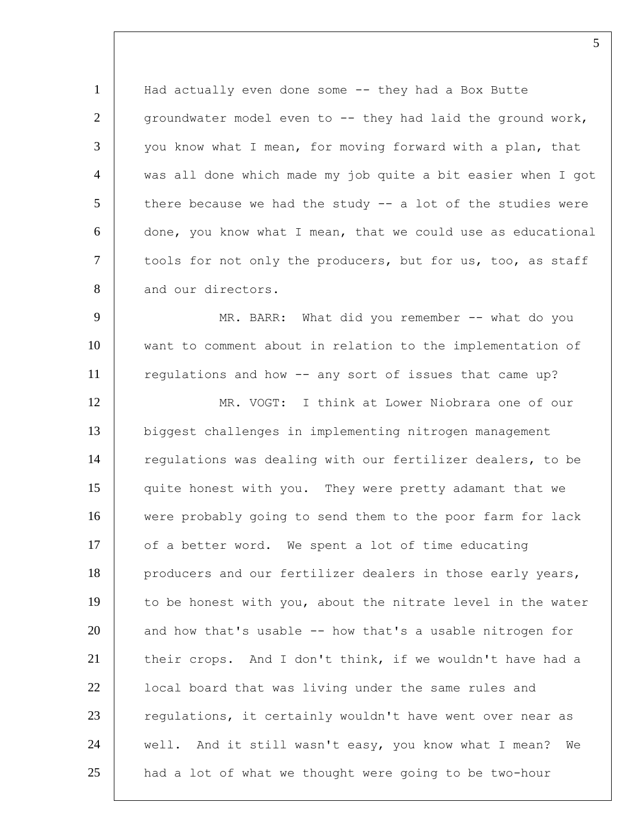1 | Had actually even done some -- they had a Box Butte  $2$  | groundwater model even to  $-$  they had laid the ground work,  $3$  you know what I mean, for moving forward with a plan, that 4 was all done which made my job quite a bit easier when I got  $5$  there because we had the study  $-$  a lot of the studies were 6 done, you know what I mean, that we could use as educational 7 | tools for not only the producers, but for us, too, as staff 8 and our directors.

9 | MR. BARR: What did you remember -- what do you 10 want to comment about in relation to the implementation of 11 regulations and how -- any sort of issues that came up? 12 MR. VOGT: I think at Lower Niobrara one of our 13 biggest challenges in implementing nitrogen management 14 | regulations was dealing with our fertilizer dealers, to be 15 quite honest with you. They were pretty adamant that we 16 were probably going to send them to the poor farm for lack 17 of a better word. We spent a lot of time educating 18 producers and our fertilizer dealers in those early years, 19 to be honest with you, about the nitrate level in the water  $20$  and how that's usable  $-$  how that's a usable nitrogen for 21 their crops. And I don't think, if we wouldn't have had a 22 | local board that was living under the same rules and 23 requiations, it certainly wouldn't have went over near as 24 well. And it still wasn't easy, you know what I mean? We  $25$  had a lot of what we thought were going to be two-hour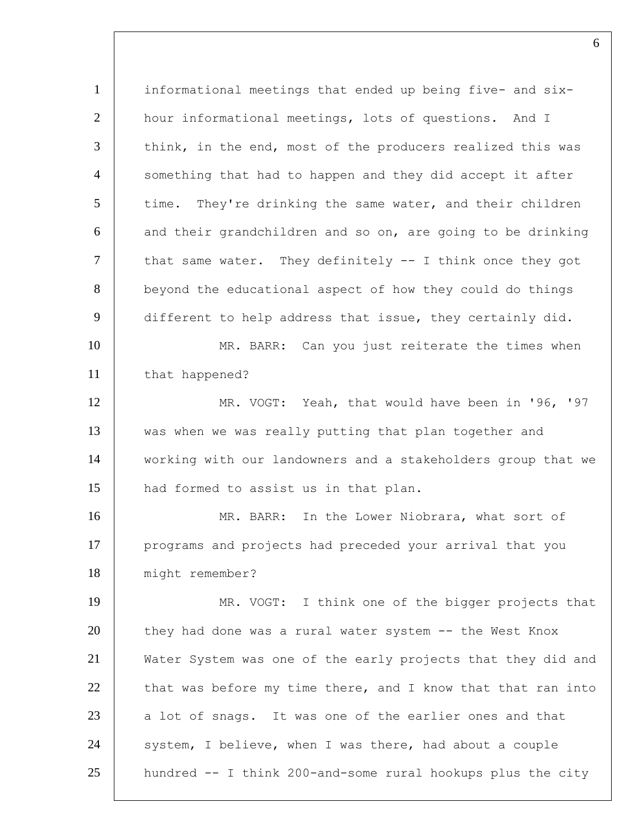1 informational meetings that ended up being five- and six-2 hour informational meetings, lots of questions. And I 3 think, in the end, most of the producers realized this was 4 | something that had to happen and they did accept it after  $5$  time. They're drinking the same water, and their children  $6$  and their grandchildren and so on, are going to be drinking  $7$  | that same water. They definitely -- I think once they got 8 beyond the educational aspect of how they could do things 9 different to help address that issue, they certainly did. 10 MR. BARR: Can you just reiterate the times when 11 that happened? 12 | MR. VOGT: Yeah, that would have been in '96, '97 13 was when we was really putting that plan together and 14 working with our landowners and a stakeholders group that we 15 | had formed to assist us in that plan. 16 MR. BARR: In the Lower Niobrara, what sort of 17 programs and projects had preceded your arrival that you 18 might remember? 19 | MR. VOGT: I think one of the bigger projects that 20 they had done was a rural water system -- the West Knox 21 Water System was one of the early projects that they did and  $22$  that was before my time there, and I know that that ran into 23 a lot of snags. It was one of the earlier ones and that  $24$  system, I believe, when I was there, had about a couple  $25$  hundred  $-$  I think 200-and-some rural hookups plus the city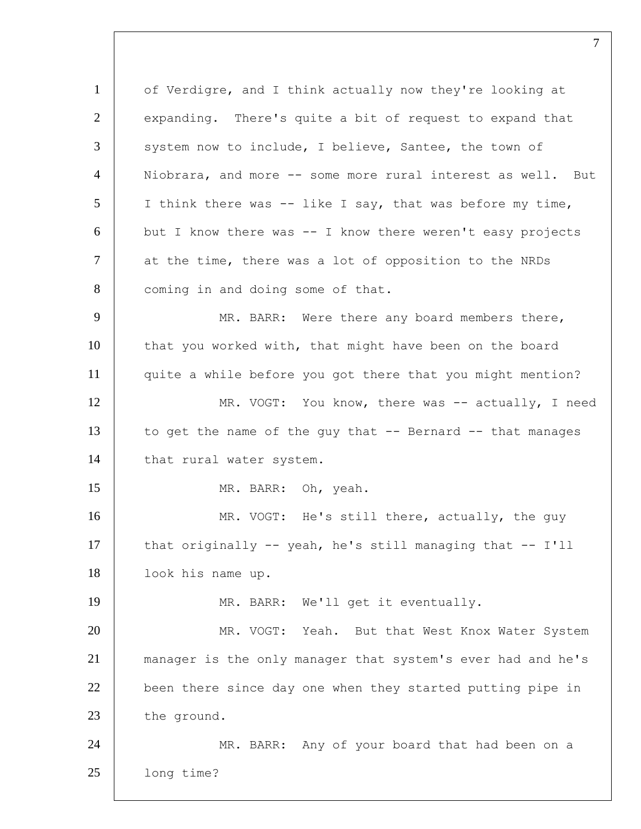1 of Verdigre, and I think actually now they're looking at  $2$  expanding. There's quite a bit of request to expand that 3 system now to include, I believe, Santee, the town of 4 Niobrara, and more -- some more rural interest as well. But  $5$  I think there was -- like I say, that was before my time,  $6$  but I know there was  $-1$  know there weren't easy projects 7 at the time, there was a lot of opposition to the NRDs 8 | coming in and doing some of that. 9 MR. BARR: Were there any board members there, 10 that you worked with, that might have been on the board 11 quite a while before you got there that you might mention? 12 | MR. VOGT: You know, there was -- actually, I need 13 to get the name of the guy that  $-$  Bernard  $-$  that manages 14 | that rural water system. 15 MR. BARR: Oh, yeah. 16 MR. VOGT: He's still there, actually, the guy 17 that originally -- yeah, he's still managing that -- I'll 18 look his name up. 19 | MR. BARR: We'll get it eventually. 20 | MR. VOGT: Yeah. But that West Knox Water System 21 manager is the only manager that system's ever had and he's 22 | been there since day one when they started putting pipe in 23 the ground. 24 MR. BARR: Any of your board that had been on a 25 long time?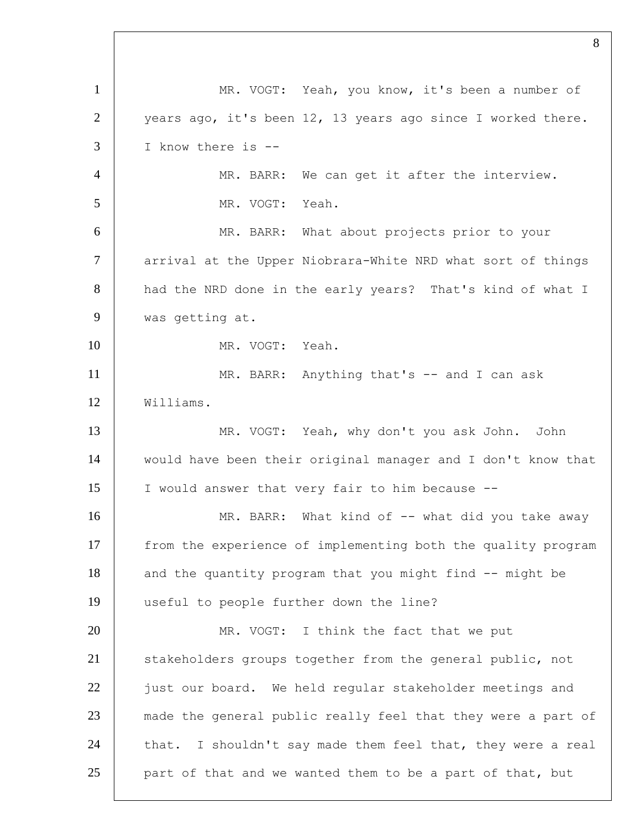1 | MR. VOGT: Yeah, you know, it's been a number of  $\vert$  vears ago, it's been 12, 13 years ago since I worked there. I know there is -- MR. BARR: We can get it after the interview. MR. VOGT: Yeah. MR. BARR: What about projects prior to your 7 arrival at the Upper Niobrara-White NRD what sort of things 8 had the NRD done in the early years? That's kind of what I was getting at. MR. VOGT: Yeah. 11 MR. BARR: Anything that's -- and I can ask Williams. MR. VOGT: Yeah, why don't you ask John. John would have been their original manager and I don't know that I would answer that very fair to him because -- 16 MR. BARR: What kind of -- what did you take away from the experience of implementing both the quality program 18 and the quantity program that you might find -- might be useful to people further down the line? MR. VOGT: I think the fact that we put 21 Stakeholders groups together from the general public, not 22 just our board. We held reqular stakeholder meetings and 23 made the general public really feel that they were a part of 24 that. I shouldn't say made them feel that, they were a real part of that and we wanted them to be a part of that, but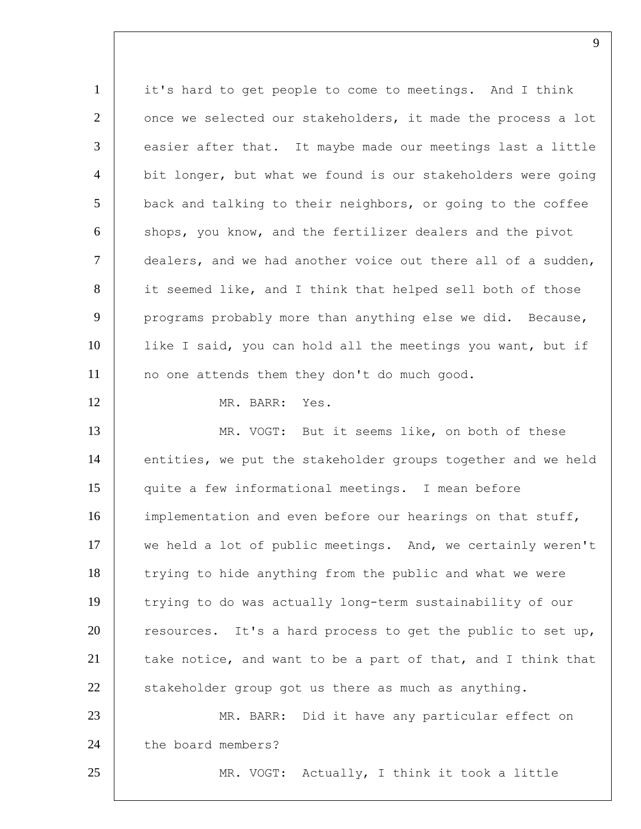1 it's hard to get people to come to meetings. And I think 2 once we selected our stakeholders, it made the process a lot  $3$  easier after that. It maybe made our meetings last a little 4 | bit longer, but what we found is our stakeholders were going  $5$  back and talking to their neighbors, or going to the coffee 6 shops, you know, and the fertilizer dealers and the pivot 7 dealers, and we had another voice out there all of a sudden, 8 it seemed like, and I think that helped sell both of those 9 programs probably more than anything else we did. Because, 10 | like I said, you can hold all the meetings you want, but if 11 | no one attends them they don't do much good. 12 MR. BARR: Yes. 13 MR. VOGT: But it seems like, on both of these 14 entities, we put the stakeholder groups together and we held 15 quite a few informational meetings. I mean before 16 implementation and even before our hearings on that stuff, 17 we held a lot of public meetings. And, we certainly weren't 18 trying to hide anything from the public and what we were 19 trying to do was actually long-term sustainability of our 20 resources. It's a hard process to get the public to set up, 21  $\vert$  take notice, and want to be a part of that, and I think that  $22$  stakeholder group got us there as much as anything. 23 | MR. BARR: Did it have any particular effect on 24 the board members? 25 | MR. VOGT: Actually, I think it took a little

 $\mathbf Q$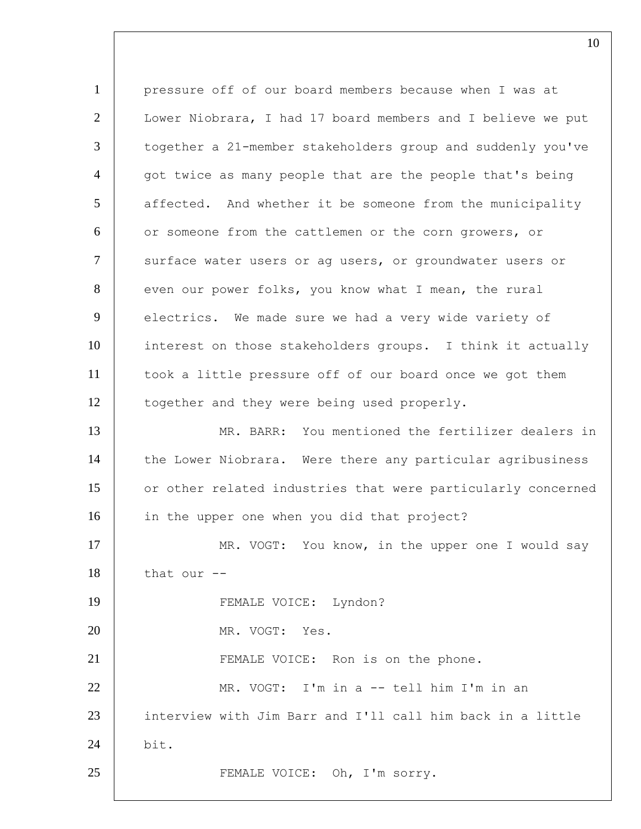1 pressure off of our board members because when I was at 2 | Lower Niobrara, I had 17 board members and I believe we put 3 | together a 21-member stakeholders group and suddenly you've  $4$  | got twice as many people that are the people that's being 5 affected. And whether it be someone from the municipality 6 or someone from the cattlemen or the corn growers, or 7 | surface water users or ag users, or groundwater users or 8 even our power folks, you know what I mean, the rural 9 electrics. We made sure we had a very wide variety of 10 interest on those stakeholders groups. I think it actually 11 took a little pressure off of our board once we got them 12 | together and they were being used properly. 13 MR. BARR: You mentioned the fertilizer dealers in 14 | the Lower Niobrara. Were there any particular agribusiness 15 | or other related industries that were particularly concerned 16 in the upper one when you did that project? 17 MR. VOGT: You know, in the upper one I would say 18 | that our --19 FEMALE VOICE: Lyndon? 20 MR. VOGT: Yes. 21 | FEMALE VOICE: Ron is on the phone. 22 MR. VOGT: I'm in a -- tell him I'm in an 23 interview with Jim Barr and I'll call him back in a little 24 bit. 25 | FEMALE VOICE: Oh, I'm sorry.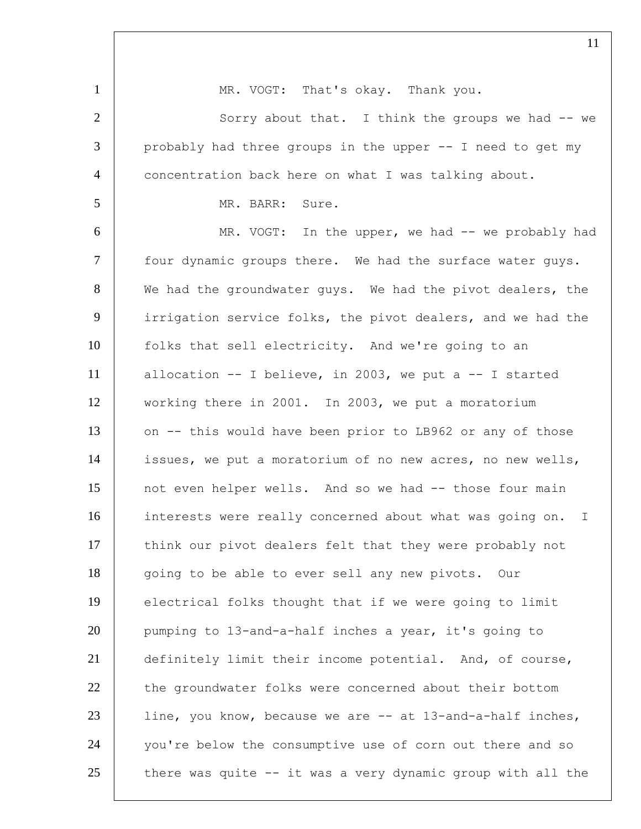1 | MR. VOGT: That's okay. Thank you. 2 | Sorry about that. I think the groups we had -- we 3 | probably had three groups in the upper -- I need to get my 4 | concentration back here on what I was talking about. 5 MR. BARR: Sure. 6 MR. VOGT: In the upper, we had -- we probably had 7 | four dynamic groups there. We had the surface water guys. 8 We had the groundwater guys. We had the pivot dealers, the 9 irrigation service folks, the pivot dealers, and we had the 10 folks that sell electricity. And we're going to an 11 allocation -- I believe, in 2003, we put a -- I started 12 working there in 2001. In 2003, we put a moratorium 13 on -- this would have been prior to LB962 or any of those 14 issues, we put a moratorium of no new acres, no new wells, 15 not even helper wells. And so we had -- those four main 16 interests were really concerned about what was going on. I 17 | think our pivot dealers felt that they were probably not 18 | going to be able to ever sell any new pivots. Our 19 electrical folks thought that if we were going to limit 20 pumping to 13-and-a-half inches a year, it's going to 21 definitely limit their income potential. And, of course, 22 the groundwater folks were concerned about their bottom 23 | line, you know, because we are -- at 13-and-a-half inches, 24 you're below the consumptive use of corn out there and so 25  $\vert$  there was quite -- it was a very dynamic group with all the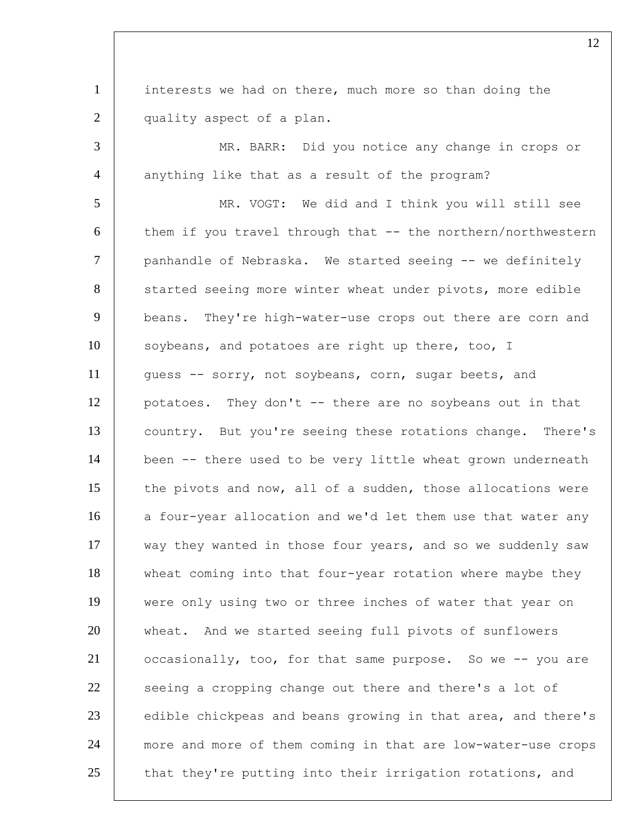1 interests we had on there, much more so than doing the 2 quality aspect of a plan. 3 MR. BARR: Did you notice any change in crops or 4 anything like that as a result of the program? 5 MR. VOGT: We did and I think you will still see  $6$  them if you travel through that  $-$  the northern/northwestern 7 panhandle of Nebraska. We started seeing -- we definitely 8 started seeing more winter wheat under pivots, more edible 9 beans. They're high-water-use crops out there are corn and 10 soybeans, and potatoes are right up there, too, I 11 | guess -- sorry, not soybeans, corn, sugar beets, and 12 | potatoes. They don't -- there are no soybeans out in that 13 country. But you're seeing these rotations change. There's 14 | been -- there used to be very little wheat grown underneath 15 the pivots and now, all of a sudden, those allocations were 16 a four-year allocation and we'd let them use that water any 17 way they wanted in those four years, and so we suddenly saw 18 wheat coming into that four-year rotation where maybe they 19 were only using two or three inches of water that year on 20 wheat. And we started seeing full pivots of sunflowers 21 | occasionally, too, for that same purpose. So we -- you are 22 seeing a cropping change out there and there's a lot of 23 edible chickpeas and beans growing in that area, and there's 24 more and more of them coming in that are low-water-use crops  $25$  that they're putting into their irrigation rotations, and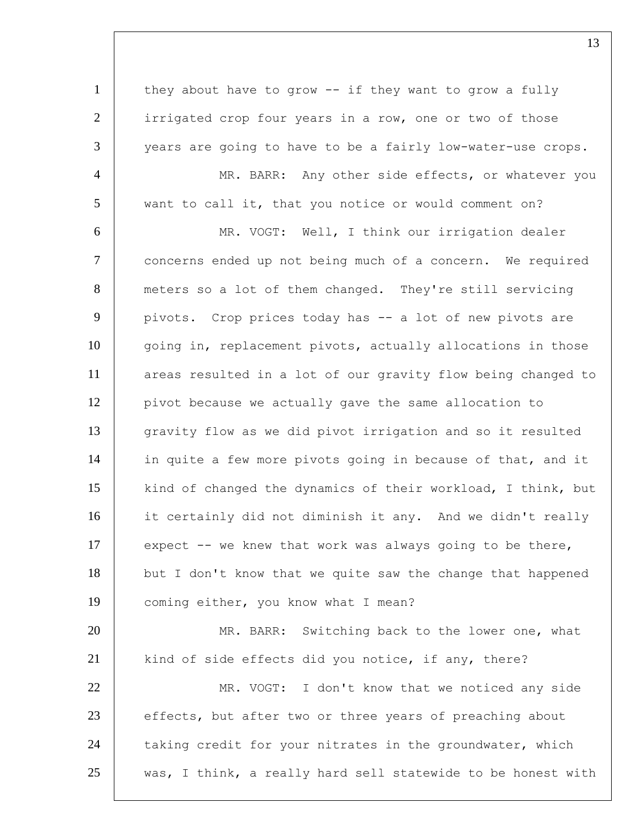1 | they about have to grow -- if they want to grow a fully 2 irrigated crop four years in a row, one or two of those 3 vears are going to have to be a fairly low-water-use crops. 4 | MR. BARR: Any other side effects, or whatever you 5 want to call it, that you notice or would comment on? 6 MR. VOGT: Well, I think our irrigation dealer 7 concerns ended up not being much of a concern. We required 8 meters so a lot of them changed. They're still servicing 9 pivots. Crop prices today has -- a lot of new pivots are 10 going in, replacement pivots, actually allocations in those 11 areas resulted in a lot of our gravity flow being changed to 12 pivot because we actually gave the same allocation to 13 gravity flow as we did pivot irrigation and so it resulted 14 in quite a few more pivots going in because of that, and it 15 kind of changed the dynamics of their workload, I think, but 16 it certainly did not diminish it any. And we didn't really 17 expect -- we knew that work was always going to be there, 18 but I don't know that we quite saw the change that happened 19 coming either, you know what I mean? 20 MR. BARR: Switching back to the lower one, what 21 | kind of side effects did you notice, if any, there? 22 MR. VOGT: I don't know that we noticed any side 23 effects, but after two or three years of preaching about 24 taking credit for your nitrates in the groundwater, which  $25$  was, I think, a really hard sell statewide to be honest with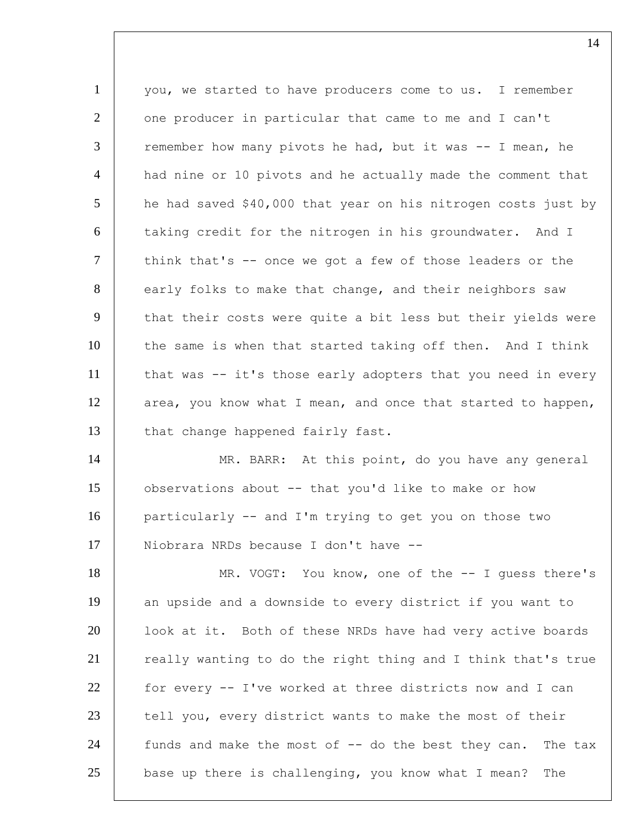1 you, we started to have producers come to us. I remember 2 one producer in particular that came to me and I can't  $3$  remember how many pivots he had, but it was  $-$  I mean, he 4 | had nine or 10 pivots and he actually made the comment that  $5$  he had saved \$40,000 that year on his nitrogen costs just by 6 taking credit for the nitrogen in his groundwater. And I 7 | think that's -- once we got a few of those leaders or the 8 early folks to make that change, and their neighbors saw 9 that their costs were quite a bit less but their yields were 10 the same is when that started taking off then. And I think 11 | that was -- it's those early adopters that you need in every 12 area, you know what I mean, and once that started to happen, 13 that change happened fairly fast. 14 | MR. BARR: At this point, do you have any general 15 observations about -- that you'd like to make or how 16 particularly -- and I'm trying to get you on those two 17 | Niobrara NRDs because I don't have --18 | MR. VOGT: You know, one of the -- I guess there's 19 an upside and a downside to every district if you want to 20 | look at it. Both of these NRDs have had very active boards 21 really wanting to do the right thing and I think that's true 22 for every -- I've worked at three districts now and I can 23 tell you, every district wants to make the most of their 24 funds and make the most of -- do the best they can. The tax  $25$  base up there is challenging, you know what I mean? The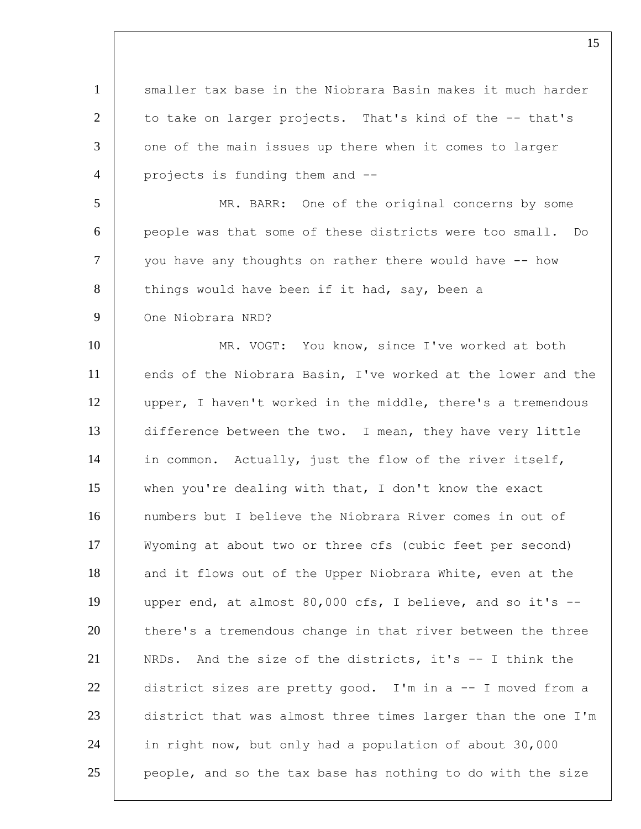1 | smaller tax base in the Niobrara Basin makes it much harder  $2$  to take on larger projects. That's kind of the  $-$ -that's 3 one of the main issues up there when it comes to larger 4 | projects is funding them and --5 MR. BARR: One of the original concerns by some 6 people was that some of these districts were too small. Do 7 you have any thoughts on rather there would have -- how 8 things would have been if it had, say, been a 9 One Niobrara NRD? 10 | MR. VOGT: You know, since I've worked at both 11 ends of the Niobrara Basin, I've worked at the lower and the 12 | upper, I haven't worked in the middle, there's a tremendous 13 difference between the two. I mean, they have very little 14 in common. Actually, just the flow of the river itself, 15 when you're dealing with that, I don't know the exact 16 numbers but I believe the Niobrara River comes in out of 17 Wyoming at about two or three cfs (cubic feet per second) 18 and it flows out of the Upper Niobrara White, even at the 19 upper end, at almost 80,000 cfs, I believe, and so it's -- 20 there's a tremendous change in that river between the three 21 NRDs. And the size of the districts, it's -- I think the 22 district sizes are pretty good. I'm in a -- I moved from a 23 district that was almost three times larger than the one I'm 24 in right now, but only had a population of about 30,000  $25$  people, and so the tax base has nothing to do with the size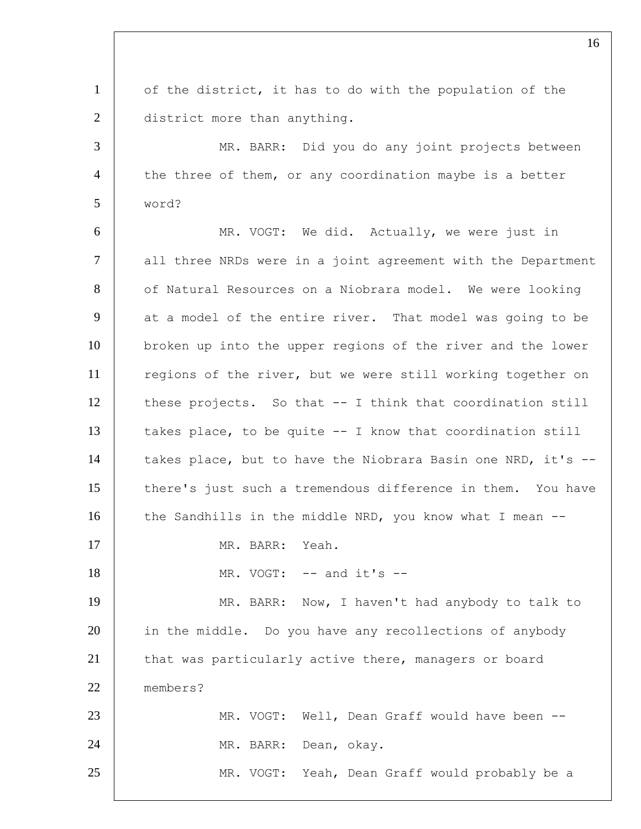1 of the district, it has to do with the population of the 2 district more than anything. 3 | MR. BARR: Did you do any joint projects between 4 the three of them, or any coordination maybe is a better 5 word? 6 MR. VOGT: We did. Actually, we were just in 7 | all three NRDs were in a joint agreement with the Department 8 of Natural Resources on a Niobrara model. We were looking 9 at a model of the entire river. That model was going to be 10 broken up into the upper regions of the river and the lower 11 | regions of the river, but we were still working together on 12 | these projects. So that -- I think that coordination still 13 | takes place, to be quite  $-$  I know that coordination still 14 | takes place, but to have the Niobrara Basin one NRD, it's --15 there's just such a tremendous difference in them. You have 16 the Sandhills in the middle NRD, you know what I mean --17 MR. BARR: Yeah. 18 | MR. VOGT: -- and it's --19 | MR. BARR: Now, I haven't had anybody to talk to 20 in the middle. Do you have any recollections of anybody 21 that was particularly active there, managers or board 22 members? 23 MR. VOGT: Well, Dean Graff would have been -- 24 | MR. BARR: Dean, okay. 25 MR. VOGT: Yeah, Dean Graff would probably be a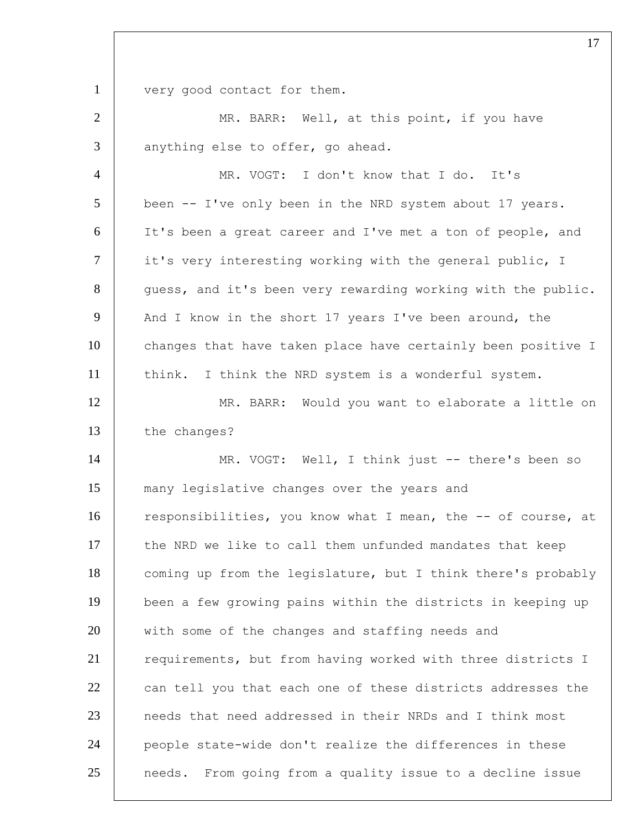1 very good contact for them.

| $\overline{2}$ | MR. BARR: Well, at this point, if you have                   |
|----------------|--------------------------------------------------------------|
| 3              | anything else to offer, go ahead.                            |
| $\overline{4}$ | MR. VOGT: I don't know that I do. It's                       |
| 5              | been -- I've only been in the NRD system about 17 years.     |
| 6              | It's been a great career and I've met a ton of people, and   |
| $\tau$         | it's very interesting working with the general public, I     |
| 8              | quess, and it's been very rewarding working with the public. |
| 9              | And I know in the short 17 years I've been around, the       |
| 10             | changes that have taken place have certainly been positive I |
| 11             | think. I think the NRD system is a wonderful system.         |
| 12             | MR. BARR: Would you want to elaborate a little on            |
| 13             | the changes?                                                 |
|                |                                                              |
| 14             | MR. VOGT: Well, I think just -- there's been so              |
| 15             | many legislative changes over the years and                  |
| 16             | responsibilities, you know what I mean, the -- of course, at |
| 17             | the NRD we like to call them unfunded mandates that keep     |
| 18             | coming up from the legislature, but I think there's probably |
| 19             | been a few growing pains within the districts in keeping up  |
| 20             | with some of the changes and staffing needs and              |
| 21             | requirements, but from having worked with three districts I  |
| 22             | can tell you that each one of these districts addresses the  |
| 23             | needs that need addressed in their NRDs and I think most     |
| 24             | people state-wide don't realize the differences in these     |